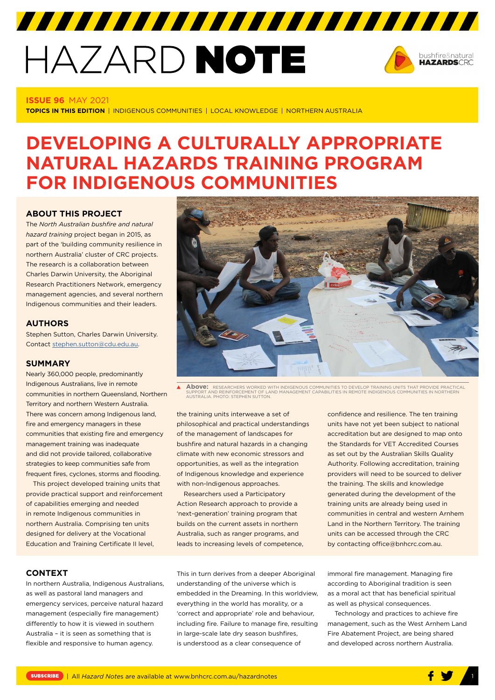# HAZARD NOTE



#### **ISSUE 96** MAY 2021

**TOPICS IN THIS EDITION** | INDIGENOUS COMMUNITIES | LOCAL KNOWLEDGE | NORTHERN AUSTRALIA

## **DEVELOPING A CULTURALLY APPROPRIATE NATURAL HAZARDS TRAINING PROGRAM FOR INDIGENOUS COMMUNITIES**

7777777777777777777777777777777

#### **ABOUT THIS PROJECT**

The *North Australian bushfire and natural hazard training* project began in 2015, as part of the 'building community resilience in northern Australia' cluster of CRC projects. The research is a collaboration between Charles Darwin University, the Aboriginal Research Practitioners Network, emergency management agencies, and several northern Indigenous communities and their leaders.

#### **AUTHORS**

Stephen Sutton, Charles Darwin University. Contact [stephen.sutton@cdu.edu.au](mailto:stephen.sutton@cdu.edu.au).

#### **SUMMARY**

Nearly 360,000 people, predominantly Indigenous Australians, live in remote communities in northern Queensland, Northern Territory and northern Western Australia. There was concern among Indigenous land, fire and emergency managers in these communities that existing fire and emergency management training was inadequate and did not provide tailored, collaborative strategies to keep communities safe from frequent fires, cyclones, storms and flooding.

This project developed training units that provide practical support and reinforcement of capabilities emerging and needed in remote Indigenous communities in northern Australia. Comprising ten units designed for delivery at the Vocational Education and Training Certificate II level,



**Above:** RESEARCHERS WORKED WITH INDIGENOUS COMMUNITIES TO DEVELOP TRAINING UNITS THAT PROVIDE PRACTICAL<br>SUPPORT AND REINFORCEMENT OF LAND MANAGEMENT CAPABILITIES IN REMOTE INDIGENOUS COMMUNITIES IN NORTHERN<br>AUSTRALIA. PHO

the training units interweave a set of philosophical and practical understandings of the management of landscapes for bushfire and natural hazards in a changing climate with new economic stressors and opportunities, as well as the integration of Indigenous knowledge and experience with non-Indigenous approaches.

Researchers used a Participatory Action Research approach to provide a 'next-generation' training program that builds on the current assets in northern Australia, such as ranger programs, and leads to increasing levels of competence, confidence and resilience. The ten training units have not yet been subject to national accreditation but are designed to map onto the Standards for VET Accredited Courses as set out by the Australian Skills Quality Authority. Following accreditation, training providers will need to be sourced to deliver the training. The skills and knowledge generated during the development of the training units are already being used in communities in central and western Arnhem Land in the Northern Territory. The training units can be accessed through the CRC by contacting office@bnhcrc.com.au.

#### **CONTEXT**

In northern Australia, Indigenous Australians, as well as pastoral land managers and emergency services, perceive natural hazard management (especially fire management) differently to how it is viewed in southern Australia – it is seen as something that is flexible and responsive to human agency.

This in turn derives from a deeper Aboriginal understanding of the universe which is embedded in the Dreaming. In this worldview, everything in the world has morality, or a 'correct and appropriate' role and behaviour, including fire. Failure to manage fire, resulting in large-scale late dry season bushfires, is understood as a clear consequence of

immoral fire management. Managing fire according to Aboriginal tradition is seen as a moral act that has beneficial spiritual as well as physical consequences.

Technology and practices to achieve fire management, such as the West Arnhem Land Fire Abatement Project, are being shared and developed across northern Australia.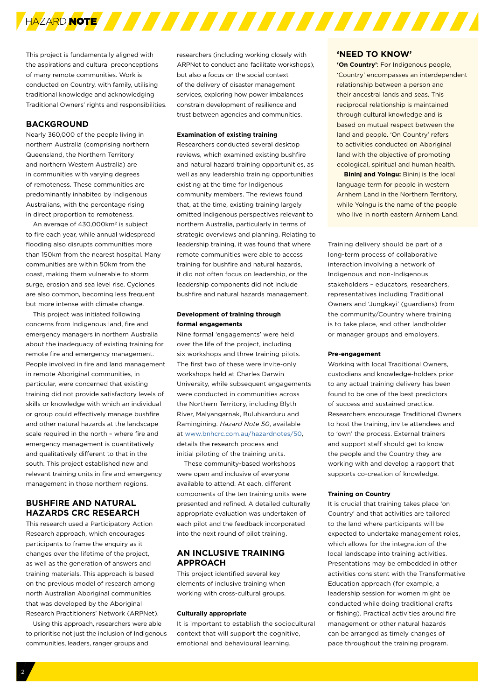

This project is fundamentally aligned with the aspirations and cultural preconceptions of many remote communities. Work is conducted on Country, with family, utilising traditional knowledge and acknowledging Traditional Owners' rights and responsibilities.

#### **BACKGROUND**

Nearly 360,000 of the people living in northern Australia (comprising northern Queensland, the Northern Territory and northern Western Australia) are in communities with varying degrees of remoteness. These communities are predominantly inhabited by Indigenous Australians, with the percentage rising in direct proportion to remoteness.

An average of 430,000km<sup>2</sup> is subject to fire each year, while annual widespread flooding also disrupts communities more than 150km from the nearest hospital. Many communities are within 50km from the coast, making them vulnerable to storm surge, erosion and sea level rise. Cyclones are also common, becoming less frequent but more intense with climate change.

This project was initiated following concerns from Indigenous land, fire and emergency managers in northern Australia about the inadequacy of existing training for remote fire and emergency management. People involved in fire and land management in remote Aboriginal communities, in particular, were concerned that existing training did not provide satisfactory levels of skills or knowledge with which an individual or group could effectively manage bushfire and other natural hazards at the landscape scale required in the north – where fire and emergency management is quantitatively and qualitatively different to that in the south. This project established new and relevant training units in fire and emergency management in those northern regions.

#### **BUSHFIRE AND NATURAL HAZARDS CRC RESEARCH**

This research used a Participatory Action Research approach, which encourages participants to frame the enquiry as it changes over the lifetime of the project, as well as the generation of answers and training materials. This approach is based on the previous model of research among north Australian Aboriginal communities that was developed by the Aboriginal Research Practitioners' Network (ARPNet).

Using this approach, researchers were able to prioritise not just the inclusion of Indigenous communities, leaders, ranger groups and

researchers (including working closely with ARPNet to conduct and facilitate workshops), but also a focus on the social context of the delivery of disaster management services, exploring how power imbalances constrain development of resilience and trust between agencies and communities.

#### **Examination of existing training**

Researchers conducted several desktop reviews, which examined existing bushfire and natural hazard training opportunities, as well as any leadership training opportunities existing at the time for Indigenous community members. The reviews found that, at the time, existing training largely omitted Indigenous perspectives relevant to northern Australia, particularly in terms of strategic overviews and planning. Relating to leadership training, it was found that where remote communities were able to access training for bushfire and natural hazards, it did not often focus on leadership, or the leadership components did not include bushfire and natural hazards management.

#### **Development of training through formal engagements**

Nine formal 'engagements' were held over the life of the project, including six workshops and three training pilots. The first two of these were invite-only workshops held at Charles Darwin University, while subsequent engagements were conducted in communities across the Northern Territory, including Blyth River, Malyangarnak, Buluhkarduru and Ramingining. *Hazard Note 50*, available at [www.bnhcrc.com.au/hazardnotes/50](http://www.bnhcrc.com.au/hazardnotes/50), details the research process and initial piloting of the training units.

These community-based workshops were open and inclusive of everyone available to attend. At each, different components of the ten training units were presented and refined. A detailed culturally appropriate evaluation was undertaken of each pilot and the feedback incorporated into the next round of pilot training.

#### **AN INCLUSIVE TRAINING APPROACH**

This project identified several key elements of inclusive training when working with cross-cultural groups.

#### **Culturally appropriate**

It is important to establish the sociocultural context that will support the cognitive, emotional and behavioural learning.

#### **'NEED TO KNOW'**

**'On Country'**: For Indigenous people, 'Country' encompasses an interdependent relationship between a person and their ancestral lands and seas. This reciprocal relationship is maintained through cultural knowledge and is based on mutual respect between the land and people. 'On Country' refers to activities conducted on Aboriginal land with the objective of promoting ecological, spiritual and human health.

**Bininj and Yolngu:** Bininj is the local language term for people in western Arnhem Land in the Northern Territory, while Yolngu is the name of the people who live in north eastern Arnhem Land.

Training delivery should be part of a long-term process of collaborative interaction involving a network of Indigenous and non-Indigenous stakeholders – educators, researchers, representatives including Traditional Owners and 'Jungkayi' (guardians) from the community/Country where training is to take place, and other landholder or manager groups and employers.

#### **Pre-engagement**

Working with local Traditional Owners, custodians and knowledge-holders prior to any actual training delivery has been found to be one of the best predictors of success and sustained practice. Researchers encourage Traditional Owners to host the training, invite attendees and to 'own' the process. External trainers and support staff should get to know the people and the Country they are working with and develop a rapport that supports co-creation of knowledge.

#### **Training on Country**

It is crucial that training takes place 'on Country' and that activities are tailored to the land where participants will be expected to undertake management roles, which allows for the integration of the local landscape into training activities. Presentations may be embedded in other activities consistent with the Transformative Education approach (for example, a leadership session for women might be conducted while doing traditional crafts or fishing). Practical activities around fire management or other natural hazards can be arranged as timely changes of pace throughout the training program.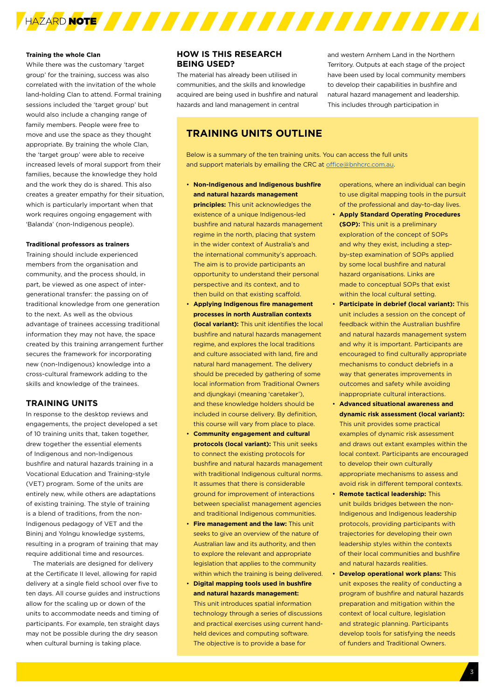

#### **Training the whole Clan**

While there was the customary 'target group' for the training, success was also correlated with the invitation of the whole land-holding Clan to attend. Formal training sessions included the 'target group' but would also include a changing range of family members. People were free to move and use the space as they thought appropriate. By training the whole Clan, the 'target group' were able to receive increased levels of moral support from their families, because the knowledge they hold and the work they do is shared. This also creates a greater empathy for their situation, which is particularly important when that work requires ongoing engagement with 'Balanda' (non-Indigenous people).

#### **Traditional professors as trainers**

Training should include experienced members from the organisation and community, and the process should, in part, be viewed as one aspect of intergenerational transfer: the passing on of traditional knowledge from one generation to the next. As well as the obvious advantage of trainees accessing traditional information they may not have, the space created by this training arrangement further secures the framework for incorporating new (non-Indigenous) knowledge into a cross-cultural framework adding to the skills and knowledge of the trainees.

#### **TRAINING UNITS**

In response to the desktop reviews and engagements, the project developed a set of 10 training units that, taken together, drew together the essential elements of Indigenous and non-Indigenous bushfire and natural hazards training in a Vocational Education and Training-style (VET) program. Some of the units are entirely new, while others are adaptations of existing training. The style of training is a blend of traditions, from the non-Indigenous pedagogy of VET and the Bininj and Yolngu knowledge systems, resulting in a program of training that may require additional time and resources.

The materials are designed for delivery at the Certificate II level, allowing for rapid delivery at a single field school over five to ten days. All course guides and instructions allow for the scaling up or down of the units to accommodate needs and timing of participants. For example, ten straight days may not be possible during the dry season when cultural burning is taking place.

#### **HOW IS THIS RESEARCH BEING USED?**

The material has already been utilised in communities, and the skills and knowledge acquired are being used in bushfire and natural hazards and land management in central

and western Arnhem Land in the Northern Territory. Outputs at each stage of the project have been used by local community members to develop their capabilities in bushfire and natural hazard management and leadership. This includes through participation in

### **TRAINING UNITS OUTLINE**

Below is a summary of the ten training units. You can access the full units and support materials by emailing the CRC at [office@bnhcrc.com.au.](mailto:office@bnhcrc.com.au)

- **Non-Indigenous and Indigenous bushfire and natural hazards management principles:** This unit acknowledges the existence of a unique Indigenous-led bushfire and natural hazards management regime in the north, placing that system in the wider context of Australia's and the international community's approach. The aim is to provide participants an opportunity to understand their personal perspective and its context, and to then build on that existing scaffold.
- **Applying Indigenous fire management processes in north Australian contexts (local variant):** This unit identifies the local bushfire and natural hazards management regime, and explores the local traditions and culture associated with land, fire and natural hard management. The delivery should be preceded by gathering of some local information from Traditional Owners and diungkayi (meaning 'caretaker'). and these knowledge holders should be included in course delivery. By definition, this course will vary from place to place.
- **Community engagement and cultural protocols (local variant):** This unit seeks to connect the existing protocols for bushfire and natural hazards management with traditional Indigenous cultural norms. It assumes that there is considerable ground for improvement of interactions between specialist management agencies and traditional Indigenous communities.
- **Fire management and the law:** This unit seeks to give an overview of the nature of Australian law and its authority, and then to explore the relevant and appropriate legislation that applies to the community within which the training is being delivered.
- **Digital mapping tools used in bushfire and natural hazards management:** This unit introduces spatial information technology through a series of discussions and practical exercises using current handheld devices and computing software. The objective is to provide a base for

operations, where an individual can begin to use digital mapping tools in the pursuit of the professional and day-to-day lives.

- **Apply Standard Operating Procedures (SOP):** This unit is a preliminary exploration of the concept of SOPs and why they exist, including a stepby-step examination of SOPs applied by some local bushfire and natural hazard organisations. Links are made to conceptual SOPs that exist within the local cultural setting.
- **Participate in debrief (local variant):** This unit includes a session on the concept of feedback within the Australian bushfire and natural hazards management system and why it is important. Participants are encouraged to find culturally appropriate mechanisms to conduct debriefs in a way that generates improvements in outcomes and safety while avoiding inappropriate cultural interactions.
- **Advanced situational awareness and dynamic risk assessment (local variant):**  This unit provides some practical examples of dynamic risk assessment and draws out extant examples within the local context. Participants are encouraged to develop their own culturally appropriate mechanisms to assess and avoid risk in different temporal contexts.
- **Remote tactical leadership:** This unit builds bridges between the non-Indigenous and Indigenous leadership protocols, providing participants with trajectories for developing their own leadership styles within the contexts of their local communities and bushfire and natural hazards realities.
- **Develop operational work plans:** This unit exposes the reality of conducting a program of bushfire and natural hazards preparation and mitigation within the context of local culture, legislation and strategic planning. Participants develop tools for satisfying the needs of funders and Traditional Owners.